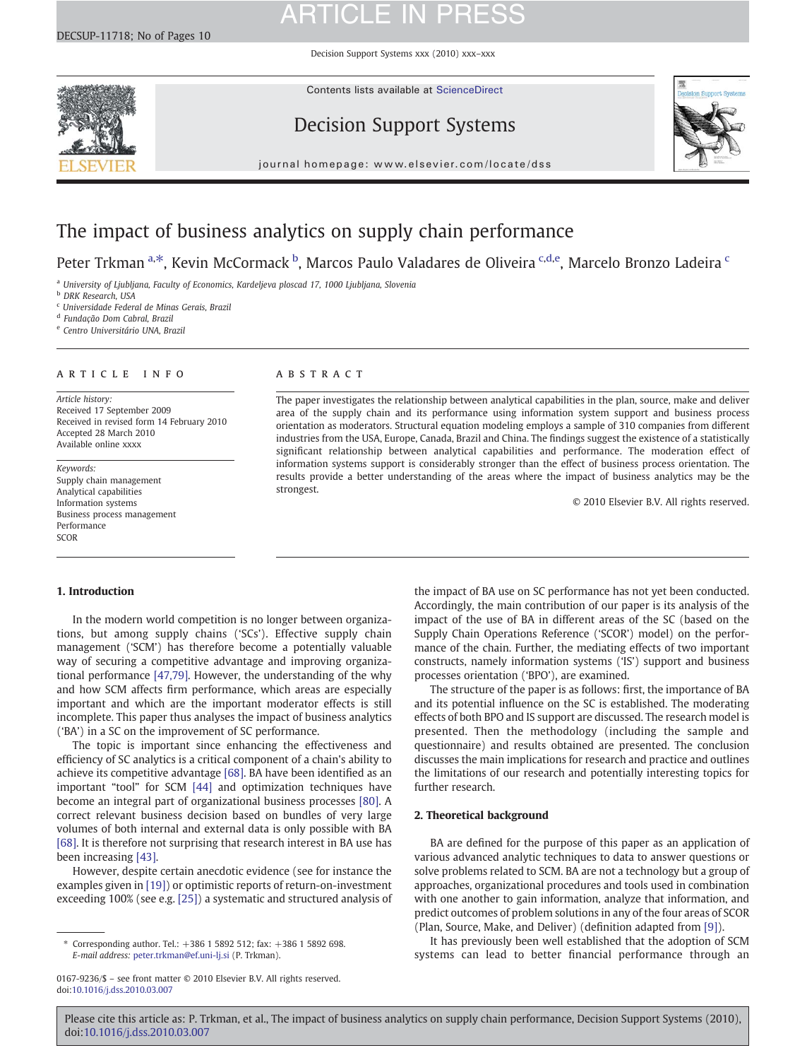Decision Support Systems xxx (2010) xxx–xxx



Contents lists available at [ScienceDirect](http://www.sciencedirect.com/science/journal/01679236)

### Decision Support Systems



journal homepage: www.elsevier.com/locate/dss

### The impact of business analytics on supply chain performance

Peter Trkman <sup>[a,](#page-0-0)\*</sup>, Kevin McCormack <sup>[b](#page-0-0)</sup>, Marcos Paulo Valadares de Oliveira <sup>[c,d,e](#page-0-0)</sup>, Mar[c](#page-0-0)elo Bronzo Ladeira <sup>c</sup>

<sup>a</sup> University of Ljubljana, Faculty of Economics, Kardeljeva ploscad 17, 1000 Ljubljana, Slovenia

**b** DRK Research, USA

<sup>c</sup> Universidade Federal de Minas Gerais, Brazil

<sup>d</sup> Fundação Dom Cabral, Brazil

<sup>e</sup> Centro Universitário UNA, Brazil

### A R T I C L E I N F O A B S T R A C T

Article history: Received 17 September 2009 Received in revised form 14 February 2010 Accepted 28 March 2010 Available online xxxx

Keywords: Supply chain management Analytical capabilities Information systems Business process management Performance **SCOR** 

The paper investigates the relationship between analytical capabilities in the plan, source, make and deliver area of the supply chain and its performance using information system support and business process orientation as moderators. Structural equation modeling employs a sample of 310 companies from different industries from the USA, Europe, Canada, Brazil and China. The findings suggest the existence of a statistically significant relationship between analytical capabilities and performance. The moderation effect of information systems support is considerably stronger than the effect of business process orientation. The results provide a better understanding of the areas where the impact of business analytics may be the strongest.

© 2010 Elsevier B.V. All rights reserved.

### 1. Introduction

In the modern world competition is no longer between organizations, but among supply chains ('SCs'). Effective supply chain management ('SCM') has therefore become a potentially valuable way of securing a competitive advantage and improving organizational performance [\[47,79\].](#page-8-0) However, the understanding of the why and how SCM affects firm performance, which areas are especially important and which are the important moderator effects is still incomplete. This paper thus analyses the impact of business analytics ('BA') in a SC on the improvement of SC performance.

The topic is important since enhancing the effectiveness and efficiency of SC analytics is a critical component of a chain's ability to achieve its competitive advantage [\[68\].](#page-8-0) BA have been identified as an important "tool" for SCM [\[44\]](#page-8-0) and optimization techniques have become an integral part of organizational business processes [\[80\].](#page-8-0) A correct relevant business decision based on bundles of very large volumes of both internal and external data is only possible with BA [\[68\]](#page-8-0). It is therefore not surprising that research interest in BA use has been increasing [\[43\].](#page-8-0)

However, despite certain anecdotic evidence (see for instance the examples given in [\[19\]](#page-7-0)) or optimistic reports of return-on-investment exceeding 100% (see e.g. [\[25\]](#page-7-0)) a systematic and structured analysis of the impact of BA use on SC performance has not yet been conducted. Accordingly, the main contribution of our paper is its analysis of the impact of the use of BA in different areas of the SC (based on the Supply Chain Operations Reference ('SCOR') model) on the performance of the chain. Further, the mediating effects of two important constructs, namely information systems ('IS') support and business processes orientation ('BPO'), are examined.

The structure of the paper is as follows: first, the importance of BA and its potential influence on the SC is established. The moderating effects of both BPO and IS support are discussed. The research model is presented. Then the methodology (including the sample and questionnaire) and results obtained are presented. The conclusion discusses the main implications for research and practice and outlines the limitations of our research and potentially interesting topics for further research.

### 2. Theoretical background

BA are defined for the purpose of this paper as an application of various advanced analytic techniques to data to answer questions or solve problems related to SCM. BA are not a technology but a group of approaches, organizational procedures and tools used in combination with one another to gain information, analyze that information, and predict outcomes of problem solutions in any of the four areas of SCOR (Plan, Source, Make, and Deliver) (definition adapted from [\[9\]\)](#page-7-0).

It has previously been well established that the adoption of SCM systems can lead to better financial performance through an

<sup>⁎</sup> Corresponding author. Tel.: +386 1 5892 512; fax: +386 1 5892 698. E-mail address: [peter.trkman@ef.uni-lj.si](mailto:peter.trkman@ef.uni-lj.si) (P. Trkman).

<span id="page-0-0"></span><sup>0167-9236/\$</sup> – see front matter © 2010 Elsevier B.V. All rights reserved. doi:[10.1016/j.dss.2010.03.007](http://dx.doi.org/10.1016/j.dss.2010.03.007)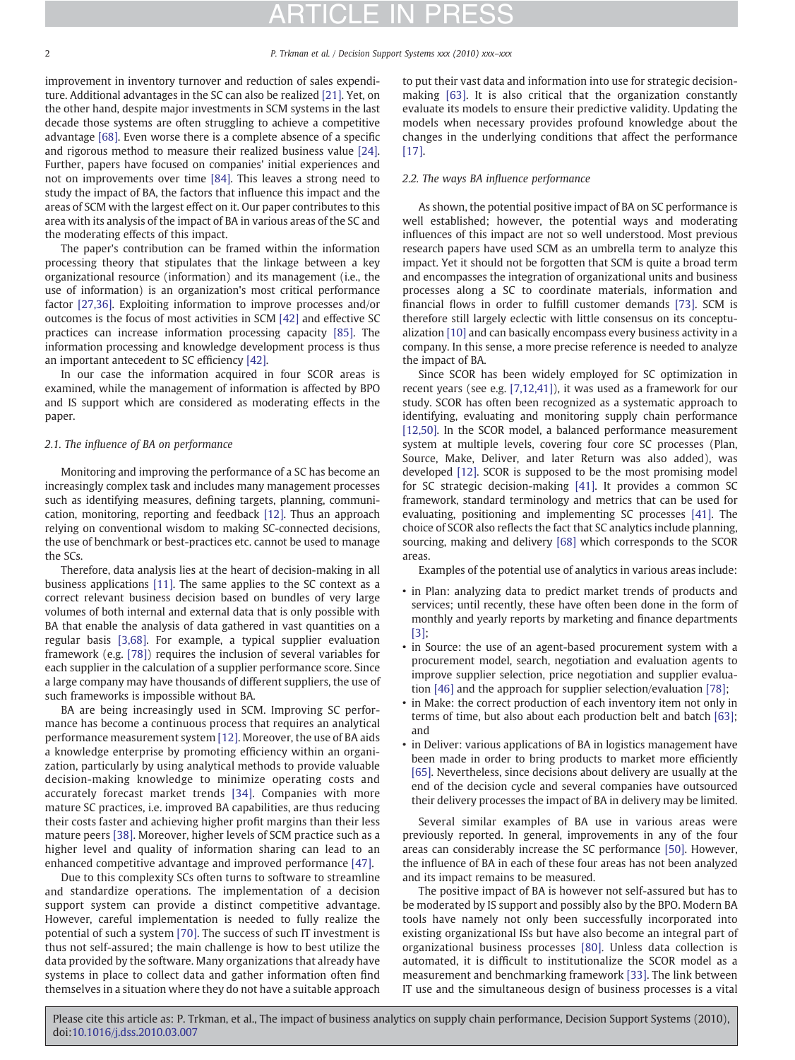#### 2 P. Trkman et al. / Decision Support Systems xxx (2010) xxx–xxx

improvement in inventory turnover and reduction of sales expenditure. Additional advantages in the SC can also be realized [\[21\].](#page-7-0) Yet, on the other hand, despite major investments in SCM systems in the last decade those systems are often struggling to achieve a competitive advantage [\[68\]](#page-8-0). Even worse there is a complete absence of a specific and rigorous method to measure their realized business value [\[24\].](#page-7-0) Further, papers have focused on companies' initial experiences and not on improvements over time [\[84\].](#page-8-0) This leaves a strong need to study the impact of BA, the factors that influence this impact and the areas of SCM with the largest effect on it. Our paper contributes to this area with its analysis of the impact of BA in various areas of the SC and the moderating effects of this impact.

The paper's contribution can be framed within the information processing theory that stipulates that the linkage between a key organizational resource (information) and its management (i.e., the use of information) is an organization's most critical performance factor [\[27,36\].](#page-7-0) Exploiting information to improve processes and/or outcomes is the focus of most activities in SCM [\[42\]](#page-8-0) and effective SC practices can increase information processing capacity [\[85\].](#page-8-0) The information processing and knowledge development process is thus an important antecedent to SC efficiency [\[42\].](#page-8-0)

In our case the information acquired in four SCOR areas is examined, while the management of information is affected by BPO and IS support which are considered as moderating effects in the paper.

### 2.1. The influence of BA on performance

Monitoring and improving the performance of a SC has become an increasingly complex task and includes many management processes such as identifying measures, defining targets, planning, communication, monitoring, reporting and feedback [\[12\].](#page-7-0) Thus an approach relying on conventional wisdom to making SC-connected decisions, the use of benchmark or best-practices etc. cannot be used to manage the SCs.

Therefore, data analysis lies at the heart of decision-making in all business applications [\[11\].](#page-7-0) The same applies to the SC context as a correct relevant business decision based on bundles of very large volumes of both internal and external data that is only possible with BA that enable the analysis of data gathered in vast quantities on a regular basis [\[3,68\].](#page-7-0) For example, a typical supplier evaluation framework (e.g. [\[78\]](#page-8-0)) requires the inclusion of several variables for each supplier in the calculation of a supplier performance score. Since a large company may have thousands of different suppliers, the use of such frameworks is impossible without BA.

BA are being increasingly used in SCM. Improving SC performance has become a continuous process that requires an analytical performance measurement system [\[12\]](#page-7-0). Moreover, the use of BA aids a knowledge enterprise by promoting efficiency within an organization, particularly by using analytical methods to provide valuable decision-making knowledge to minimize operating costs and accurately forecast market trends [\[34\]](#page-7-0). Companies with more mature SC practices, i.e. improved BA capabilities, are thus reducing their costs faster and achieving higher profit margins than their less mature peers [\[38\].](#page-8-0) Moreover, higher levels of SCM practice such as a higher level and quality of information sharing can lead to an enhanced competitive advantage and improved performance [\[47\].](#page-8-0)

Due to this complexity SCs often turns to software to streamline and standardize operations. The implementation of a decision support system can provide a distinct competitive advantage. However, careful implementation is needed to fully realize the potential of such a system [\[70\].](#page-8-0) The success of such IT investment is thus not self-assured; the main challenge is how to best utilize the data provided by the software. Many organizations that already have systems in place to collect data and gather information often find themselves in a situation where they do not have a suitable approach to put their vast data and information into use for strategic decisionmaking [\[63\]](#page-8-0). It is also critical that the organization constantly evaluate its models to ensure their predictive validity. Updating the models when necessary provides profound knowledge about the changes in the underlying conditions that affect the performance [\[17\].](#page-7-0)

### 2.2. The ways BA influence performance

As shown, the potential positive impact of BA on SC performance is well established; however, the potential ways and moderating influences of this impact are not so well understood. Most previous research papers have used SCM as an umbrella term to analyze this impact. Yet it should not be forgotten that SCM is quite a broad term and encompasses the integration of organizational units and business processes along a SC to coordinate materials, information and financial flows in order to fulfill customer demands [\[73\].](#page-8-0) SCM is therefore still largely eclectic with little consensus on its conceptualization [\[10\]](#page-7-0) and can basically encompass every business activity in a company. In this sense, a more precise reference is needed to analyze the impact of BA.

Since SCOR has been widely employed for SC optimization in recent years (see e.g. [\[7,12,41\]](#page-7-0)), it was used as a framework for our study. SCOR has often been recognized as a systematic approach to identifying, evaluating and monitoring supply chain performance [\[12,50\]](#page-7-0). In the SCOR model, a balanced performance measurement system at multiple levels, covering four core SC processes (Plan, Source, Make, Deliver, and later Return was also added), was developed [\[12\]](#page-7-0). SCOR is supposed to be the most promising model for SC strategic decision-making [\[41\].](#page-8-0) It provides a common SC framework, standard terminology and metrics that can be used for evaluating, positioning and implementing SC processes [\[41\]](#page-8-0). The choice of SCOR also reflects the fact that SC analytics include planning, sourcing, making and delivery [\[68\]](#page-8-0) which corresponds to the SCOR areas.

Examples of the potential use of analytics in various areas include:

- in Plan: analyzing data to predict market trends of products and services; until recently, these have often been done in the form of monthly and yearly reports by marketing and finance departments [\[3\];](#page-7-0)
- in Source: the use of an agent-based procurement system with a procurement model, search, negotiation and evaluation agents to improve supplier selection, price negotiation and supplier evaluation [\[46\]](#page-8-0) and the approach for supplier selection/evaluation [\[78\];](#page-8-0)
- in Make: the correct production of each inventory item not only in terms of time, but also about each production belt and batch [\[63\]](#page-8-0); and
- in Deliver: various applications of BA in logistics management have been made in order to bring products to market more efficiently [\[65\]](#page-8-0). Nevertheless, since decisions about delivery are usually at the end of the decision cycle and several companies have outsourced their delivery processes the impact of BA in delivery may be limited.

Several similar examples of BA use in various areas were previously reported. In general, improvements in any of the four areas can considerably increase the SC performance [\[50\]](#page-8-0). However, the influence of BA in each of these four areas has not been analyzed and its impact remains to be measured.

The positive impact of BA is however not self-assured but has to be moderated by IS support and possibly also by the BPO. Modern BA tools have namely not only been successfully incorporated into existing organizational ISs but have also become an integral part of organizational business processes [\[80\].](#page-8-0) Unless data collection is automated, it is difficult to institutionalize the SCOR model as a measurement and benchmarking framework [\[33\].](#page-7-0) The link between IT use and the simultaneous design of business processes is a vital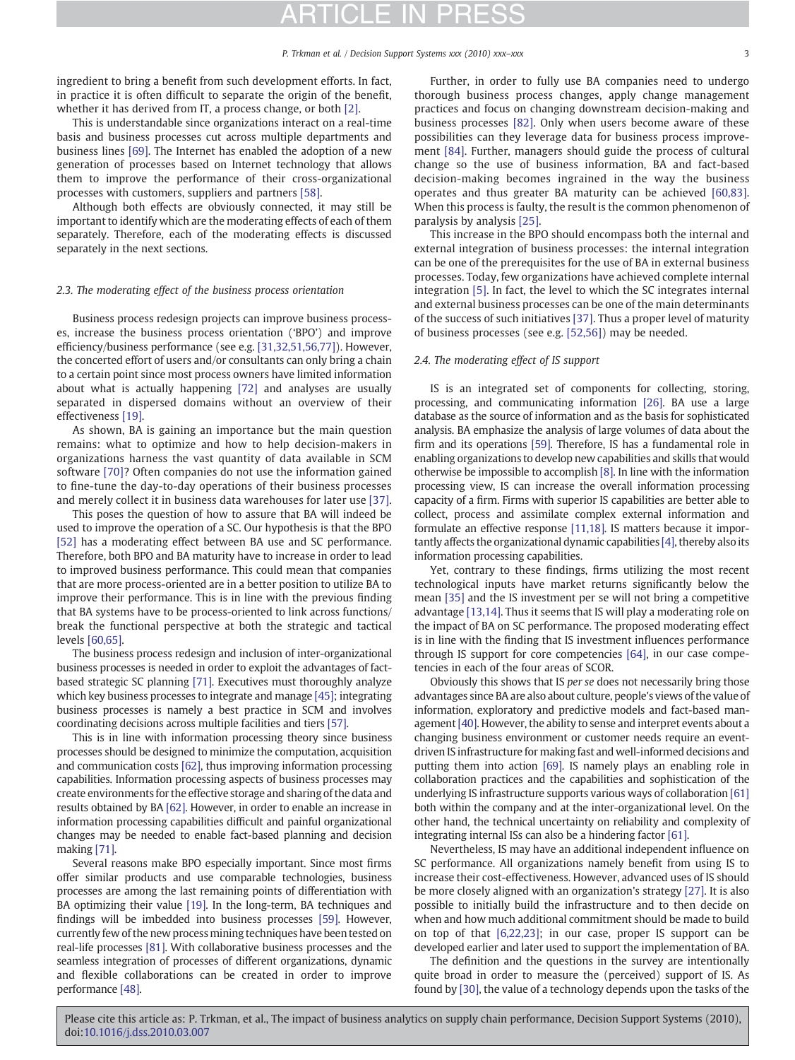ingredient to bring a benefit from such development efforts. In fact, in practice it is often difficult to separate the origin of the benefit, whether it has derived from IT, a process change, or both [\[2\].](#page-7-0)

This is understandable since organizations interact on a real-time basis and business processes cut across multiple departments and business lines [\[69\]](#page-8-0). The Internet has enabled the adoption of a new generation of processes based on Internet technology that allows them to improve the performance of their cross-organizational processes with customers, suppliers and partners [\[58\].](#page-8-0)

Although both effects are obviously connected, it may still be important to identify which are the moderating effects of each of them separately. Therefore, each of the moderating effects is discussed separately in the next sections.

### 2.3. The moderating effect of the business process orientation

Business process redesign projects can improve business processes, increase the business process orientation ('BPO') and improve efficiency/business performance (see e.g. [\[31,32,51,56,77\]](#page-7-0)). However, the concerted effort of users and/or consultants can only bring a chain to a certain point since most process owners have limited information about what is actually happening [\[72\]](#page-8-0) and analyses are usually separated in dispersed domains without an overview of their effectiveness [\[19\]](#page-7-0).

As shown, BA is gaining an importance but the main question remains: what to optimize and how to help decision-makers in organizations harness the vast quantity of data available in SCM software [\[70\]?](#page-8-0) Often companies do not use the information gained to fine-tune the day-to-day operations of their business processes and merely collect it in business data warehouses for later use [\[37\].](#page-8-0)

This poses the question of how to assure that BA will indeed be used to improve the operation of a SC. Our hypothesis is that the BPO [\[52\]](#page-8-0) has a moderating effect between BA use and SC performance. Therefore, both BPO and BA maturity have to increase in order to lead to improved business performance. This could mean that companies that are more process-oriented are in a better position to utilize BA to improve their performance. This is in line with the previous finding that BA systems have to be process-oriented to link across functions/ break the functional perspective at both the strategic and tactical levels [\[60,65\]](#page-8-0).

The business process redesign and inclusion of inter-organizational business processes is needed in order to exploit the advantages of factbased strategic SC planning [\[71\].](#page-8-0) Executives must thoroughly analyze which key business processes to integrate and manage [\[45\]](#page-8-0); integrating business processes is namely a best practice in SCM and involves coordinating decisions across multiple facilities and tiers [\[57\].](#page-8-0)

This is in line with information processing theory since business processes should be designed to minimize the computation, acquisition and communication costs [\[62\]](#page-8-0), thus improving information processing capabilities. Information processing aspects of business processes may create environments for the effective storage and sharing of the data and results obtained by BA [\[62\].](#page-8-0) However, in order to enable an increase in information processing capabilities difficult and painful organizational changes may be needed to enable fact-based planning and decision making [\[71\].](#page-8-0)

Several reasons make BPO especially important. Since most firms offer similar products and use comparable technologies, business processes are among the last remaining points of differentiation with BA optimizing their value [\[19\]](#page-7-0). In the long-term, BA techniques and findings will be imbedded into business processes [\[59\]](#page-8-0). However, currently few of the new process mining techniques have been tested on real-life processes [\[81\].](#page-8-0) With collaborative business processes and the seamless integration of processes of different organizations, dynamic and flexible collaborations can be created in order to improve performance [\[48\]](#page-8-0).

Further, in order to fully use BA companies need to undergo thorough business process changes, apply change management practices and focus on changing downstream decision-making and business processes [\[82\].](#page-8-0) Only when users become aware of these possibilities can they leverage data for business process improvement [\[84\]](#page-8-0). Further, managers should guide the process of cultural change so the use of business information, BA and fact-based decision-making becomes ingrained in the way the business operates and thus greater BA maturity can be achieved [\[60,83\].](#page-8-0) When this process is faulty, the result is the common phenomenon of paralysis by analysis [\[25\].](#page-7-0)

This increase in the BPO should encompass both the internal and external integration of business processes: the internal integration can be one of the prerequisites for the use of BA in external business processes. Today, few organizations have achieved complete internal integration [\[5\].](#page-7-0) In fact, the level to which the SC integrates internal and external business processes can be one of the main determinants of the success of such initiatives [\[37\]](#page-8-0). Thus a proper level of maturity of business processes (see e.g. [\[52,56\]](#page-8-0)) may be needed.

### 2.4. The moderating effect of IS support

IS is an integrated set of components for collecting, storing, processing, and communicating information [\[26\].](#page-7-0) BA use a large database as the source of information and as the basis for sophisticated analysis. BA emphasize the analysis of large volumes of data about the firm and its operations [\[59\]](#page-8-0). Therefore, IS has a fundamental role in enabling organizations to develop new capabilities and skills that would otherwise be impossible to accomplish [\[8\]](#page-7-0). In line with the information processing view, IS can increase the overall information processing capacity of a firm. Firms with superior IS capabilities are better able to collect, process and assimilate complex external information and formulate an effective response [\[11,18\].](#page-7-0) IS matters because it importantly affects the organizational dynamic capabilities [\[4\]](#page-7-0), thereby also its information processing capabilities.

Yet, contrary to these findings, firms utilizing the most recent technological inputs have market returns significantly below the mean [\[35\]](#page-7-0) and the IS investment per se will not bring a competitive advantage [\[13,14\]](#page-7-0). Thus it seems that IS will play a moderating role on the impact of BA on SC performance. The proposed moderating effect is in line with the finding that IS investment influences performance through IS support for core competencies [\[64\]](#page-8-0), in our case competencies in each of the four areas of SCOR.

Obviously this shows that IS per se does not necessarily bring those advantages since BA are also about culture, people's views of the value of information, exploratory and predictive models and fact-based man-agement [\[40\]](#page-8-0). However, the ability to sense and interpret events about a changing business environment or customer needs require an eventdriven IS infrastructure for making fast and well-informed decisions and putting them into action [\[69\]](#page-8-0). IS namely plays an enabling role in collaboration practices and the capabilities and sophistication of the underlying IS infrastructure supports various ways of collaboration [\[61\]](#page-8-0) both within the company and at the inter-organizational level. On the other hand, the technical uncertainty on reliability and complexity of integrating internal ISs can also be a hindering factor [\[61\].](#page-8-0)

Nevertheless, IS may have an additional independent influence on SC performance. All organizations namely benefit from using IS to increase their cost-effectiveness. However, advanced uses of IS should be more closely aligned with an organization's strategy [\[27\].](#page-7-0) It is also possible to initially build the infrastructure and to then decide on when and how much additional commitment should be made to build on top of that [\[6,22,23\]](#page-7-0); in our case, proper IS support can be developed earlier and later used to support the implementation of BA.

The definition and the questions in the survey are intentionally quite broad in order to measure the (perceived) support of IS. As found by [\[30\],](#page-7-0) the value of a technology depends upon the tasks of the

Please cite this article as: P. Trkman, et al., The impact of business analytics on supply chain performance, Decision Support Systems (2010), doi:[10.1016/j.dss.2010.03.007](http://dx.doi.org/10.1016/j.dss.2010.03.007)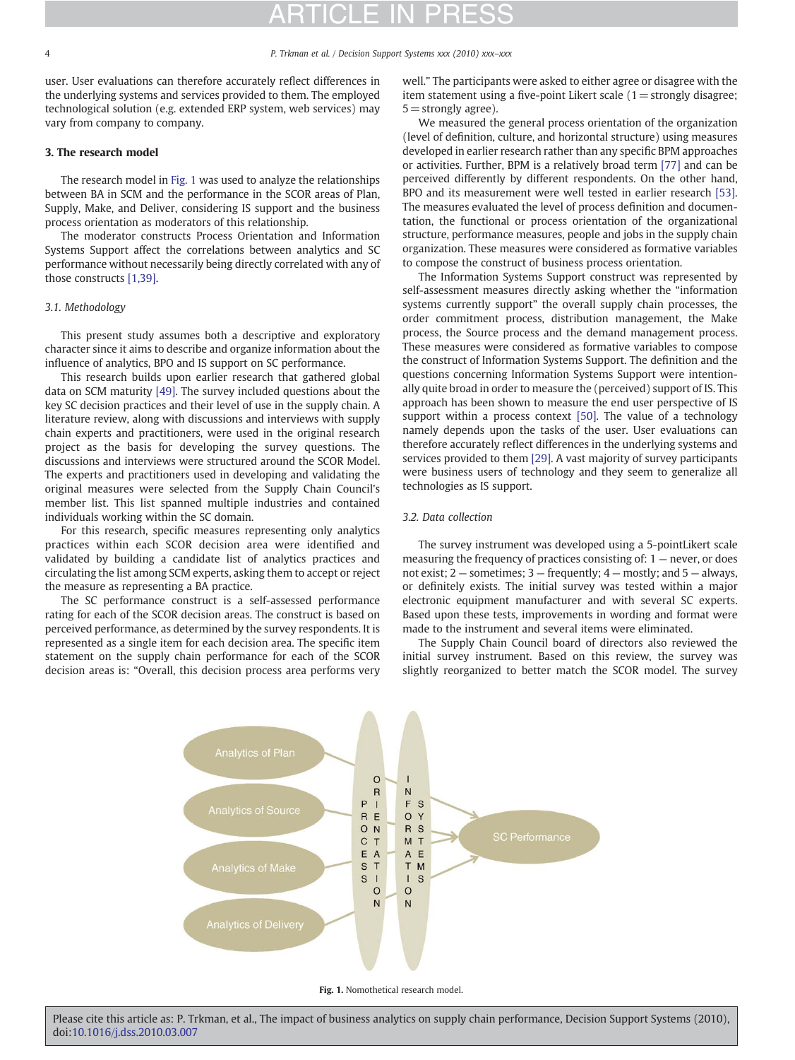user. User evaluations can therefore accurately reflect differences in the underlying systems and services provided to them. The employed technological solution (e.g. extended ERP system, web services) may vary from company to company.

### 3. The research model

The research model in [Fig. 1](#page-3-0) was used to analyze the relationships between BA in SCM and the performance in the SCOR areas of Plan, Supply, Make, and Deliver, considering IS support and the business process orientation as moderators of this relationship.

The moderator constructs Process Orientation and Information Systems Support affect the correlations between analytics and SC performance without necessarily being directly correlated with any of those constructs [\[1,39\].](#page-7-0)

### 3.1. Methodology

This present study assumes both a descriptive and exploratory character since it aims to describe and organize information about the influence of analytics, BPO and IS support on SC performance.

This research builds upon earlier research that gathered global data on SCM maturity [\[49\]](#page-8-0). The survey included questions about the key SC decision practices and their level of use in the supply chain. A literature review, along with discussions and interviews with supply chain experts and practitioners, were used in the original research project as the basis for developing the survey questions. The discussions and interviews were structured around the SCOR Model. The experts and practitioners used in developing and validating the original measures were selected from the Supply Chain Council's member list. This list spanned multiple industries and contained individuals working within the SC domain.

For this research, specific measures representing only analytics practices within each SCOR decision area were identified and validated by building a candidate list of analytics practices and circulating the list among SCM experts, asking them to accept or reject the measure as representing a BA practice.

The SC performance construct is a self-assessed performance rating for each of the SCOR decision areas. The construct is based on perceived performance, as determined by the survey respondents. It is represented as a single item for each decision area. The specific item statement on the supply chain performance for each of the SCOR decision areas is: "Overall, this decision process area performs very

well." The participants were asked to either agree or disagree with the item statement using a five-point Likert scale  $(1 =$  strongly disagree;  $5 =$  strongly agree).

We measured the general process orientation of the organization (level of definition, culture, and horizontal structure) using measures developed in earlier research rather than any specific BPM approaches or activities. Further, BPM is a relatively broad term [\[77\]](#page-8-0) and can be perceived differently by different respondents. On the other hand, BPO and its measurement were well tested in earlier research [\[53\].](#page-8-0) The measures evaluated the level of process definition and documentation, the functional or process orientation of the organizational structure, performance measures, people and jobs in the supply chain organization. These measures were considered as formative variables to compose the construct of business process orientation.

The Information Systems Support construct was represented by self-assessment measures directly asking whether the "information systems currently support" the overall supply chain processes, the order commitment process, distribution management, the Make process, the Source process and the demand management process. These measures were considered as formative variables to compose the construct of Information Systems Support. The definition and the questions concerning Information Systems Support were intentionally quite broad in order to measure the (perceived) support of IS. This approach has been shown to measure the end user perspective of IS support within a process context [\[50\].](#page-8-0) The value of a technology namely depends upon the tasks of the user. User evaluations can therefore accurately reflect differences in the underlying systems and services provided to them [\[29\].](#page-7-0) A vast majority of survey participants were business users of technology and they seem to generalize all technologies as IS support.

### 3.2. Data collection

The survey instrument was developed using a 5-pointLikert scale measuring the frequency of practices consisting of: 1 — never, or does not exist; 2 — sometimes; 3 — frequently; 4 — mostly; and 5 — always, or definitely exists. The initial survey was tested within a major electronic equipment manufacturer and with several SC experts. Based upon these tests, improvements in wording and format were made to the instrument and several items were eliminated.

The Supply Chain Council board of directors also reviewed the initial survey instrument. Based on this review, the survey was slightly reorganized to better match the SCOR model. The survey



<span id="page-3-0"></span>Fig. 1. Nomothetical research model.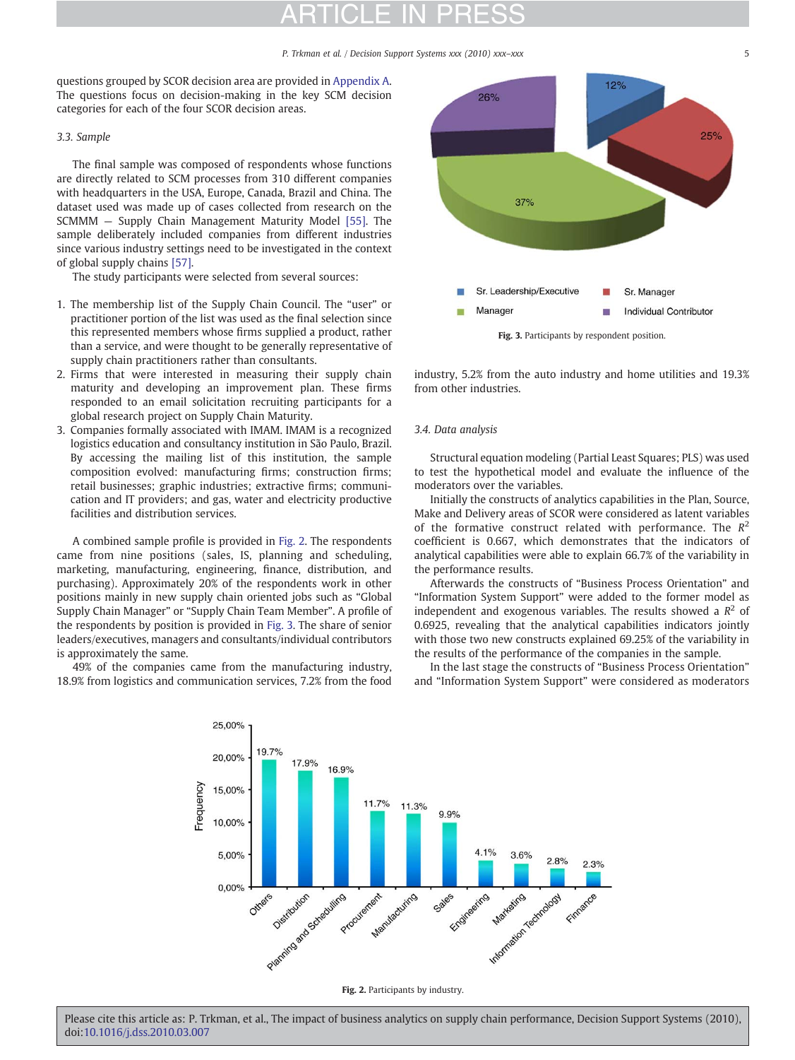#### P. Trkman et al. / Decision Support Systems xxx (2010) xxx-xxx

questions grouped by SCOR decision area are provided in [Appendix A.](#page-7-0) The questions focus on decision-making in the key SCM decision categories for each of the four SCOR decision areas.

### 3.3. Sample

The final sample was composed of respondents whose functions are directly related to SCM processes from 310 different companies with headquarters in the USA, Europe, Canada, Brazil and China. The dataset used was made up of cases collected from research on the SCMMM — Supply Chain Management Maturity Model [\[55\].](#page-8-0) The sample deliberately included companies from different industries since various industry settings need to be investigated in the context of global supply chains [\[57\]](#page-8-0).

The study participants were selected from several sources:

- 1. The membership list of the Supply Chain Council. The "user" or practitioner portion of the list was used as the final selection since this represented members whose firms supplied a product, rather than a service, and were thought to be generally representative of supply chain practitioners rather than consultants.
- 2. Firms that were interested in measuring their supply chain maturity and developing an improvement plan. These firms responded to an email solicitation recruiting participants for a global research project on Supply Chain Maturity.
- 3. Companies formally associated with IMAM. IMAM is a recognized logistics education and consultancy institution in São Paulo, Brazil. By accessing the mailing list of this institution, the sample composition evolved: manufacturing firms; construction firms; retail businesses; graphic industries; extractive firms; communication and IT providers; and gas, water and electricity productive facilities and distribution services.

A combined sample profile is provided in [Fig. 2](#page-4-0). The respondents came from nine positions (sales, IS, planning and scheduling, marketing, manufacturing, engineering, finance, distribution, and purchasing). Approximately 20% of the respondents work in other positions mainly in new supply chain oriented jobs such as "Global Supply Chain Manager" or "Supply Chain Team Member". A profile of the respondents by position is provided in [Fig. 3.](#page-4-0) The share of senior leaders/executives, managers and consultants/individual contributors is approximately the same.

49% of the companies came from the manufacturing industry, 18.9% from logistics and communication services, 7.2% from the food



industry, 5.2% from the auto industry and home utilities and 19.3% from other industries.

### 3.4. Data analysis

Structural equation modeling (Partial Least Squares; PLS) was used to test the hypothetical model and evaluate the influence of the moderators over the variables.

Initially the constructs of analytics capabilities in the Plan, Source, Make and Delivery areas of SCOR were considered as latent variables of the formative construct related with performance. The  $R^2$ coefficient is 0.667, which demonstrates that the indicators of analytical capabilities were able to explain 66.7% of the variability in the performance results.

Afterwards the constructs of "Business Process Orientation" and "Information System Support" were added to the former model as independent and exogenous variables. The results showed a  $R^2$  of 0.6925, revealing that the analytical capabilities indicators jointly with those two new constructs explained 69.25% of the variability in the results of the performance of the companies in the sample.

In the last stage the constructs of "Business Process Orientation" and "Information System Support" were considered as moderators



<span id="page-4-0"></span>Please cite this article as: P. Trkman, et al., The impact of business analytics on supply chain performance, Decision Support Systems (2010), doi:[10.1016/j.dss.2010.03.007](http://dx.doi.org/10.1016/j.dss.2010.03.007)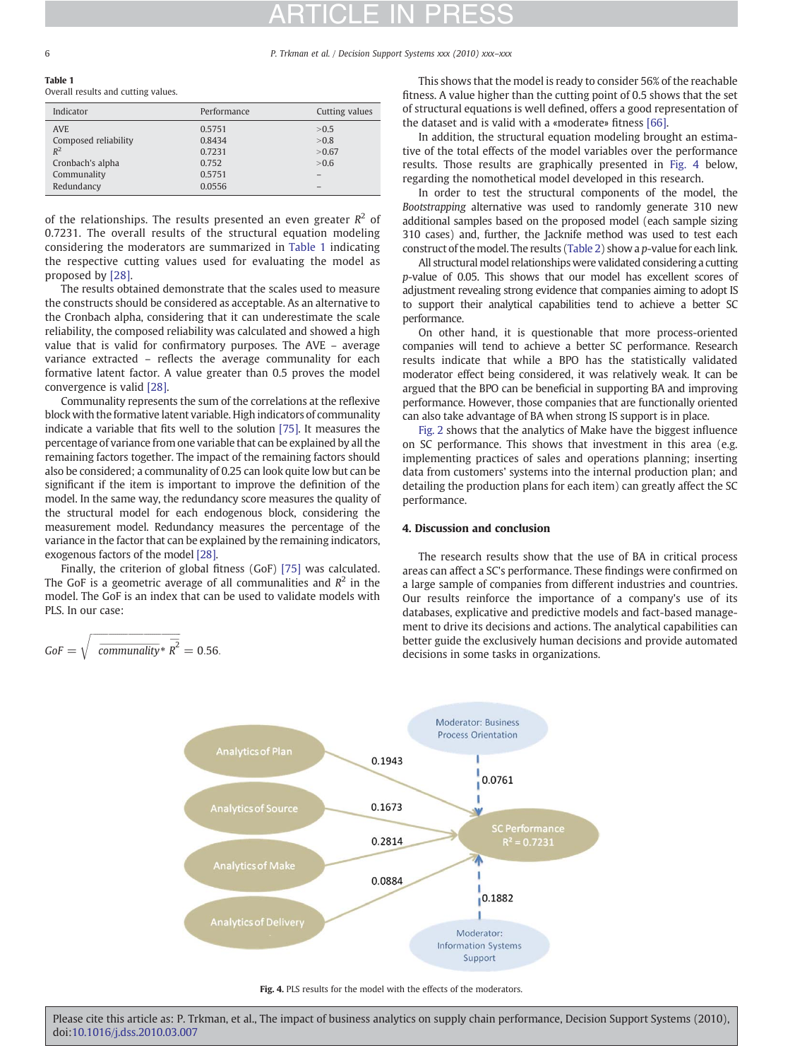#### 6 P. Trkman et al. / Decision Support Systems xxx (2010) xxx–xxx

Table 1 Overall results and cutting values.

| Indicator            | Performance | Cutting values |
|----------------------|-------------|----------------|
| <b>AVE</b>           | 0.5751      | >0.5           |
| Composed reliability | 0.8434      | >0.8           |
| $R^2$                | 0.7231      | >0.67          |
| Cronbach's alpha     | 0.752       | >0.6           |
| Communality          | 0.5751      |                |
| Redundancy           | 0.0556      |                |

of the relationships. The results presented an even greater  $R^2$  of 0.7231. The overall results of the structural equation modeling considering the moderators are summarized in [Table 1](#page-5-0) indicating the respective cutting values used for evaluating the model as proposed by [\[28\].](#page-7-0)

The results obtained demonstrate that the scales used to measure the constructs should be considered as acceptable. As an alternative to the Cronbach alpha, considering that it can underestimate the scale reliability, the composed reliability was calculated and showed a high value that is valid for confirmatory purposes. The AVE – average variance extracted – reflects the average communality for each formative latent factor. A value greater than 0.5 proves the model convergence is valid [\[28\].](#page-7-0)

Communality represents the sum of the correlations at the reflexive block with the formative latent variable. High indicators of communality indicate a variable that fits well to the solution [\[75\]](#page-8-0). It measures the percentage of variance from one variable that can be explained by all the remaining factors together. The impact of the remaining factors should also be considered; a communality of 0.25 can look quite low but can be significant if the item is important to improve the definition of the model. In the same way, the redundancy score measures the quality of the structural model for each endogenous block, considering the measurement model. Redundancy measures the percentage of the variance in the factor that can be explained by the remaining indicators, exogenous factors of the model [\[28\].](#page-7-0)

Finally, the criterion of global fitness (GoF) [\[75\]](#page-8-0) was calculated. The GoF is a geometric average of all communalities and  $R^2$  in the model. The GoF is an index that can be used to validate models with PLS. In our case:

PLS. In our case:  
\n
$$
GoF = \sqrt{\overline{communality}^* \overline{R^2}} = 0.56.
$$

This shows that the model is ready to consider 56% of the reachable fitness. A value higher than the cutting point of 0.5 shows that the set of structural equations is well defined, offers a good representation of the dataset and is valid with a «moderate» fitness [\[66\]](#page-8-0).

In addition, the structural equation modeling brought an estimative of the total effects of the model variables over the performance results. Those results are graphically presented in [Fig. 4](#page-5-0) below, regarding the nomothetical model developed in this research.

In order to test the structural components of the model, the Bootstrapping alternative was used to randomly generate 310 new additional samples based on the proposed model (each sample sizing 310 cases) and, further, the Jacknife method was used to test each construct of the model. The results [\(Table 2](#page-6-0)) show a p-value for each link.

All structural model relationships were validated considering a cutting p-value of 0.05. This shows that our model has excellent scores of adjustment revealing strong evidence that companies aiming to adopt IS to support their analytical capabilities tend to achieve a better SC performance.

On other hand, it is questionable that more process-oriented companies will tend to achieve a better SC performance. Research results indicate that while a BPO has the statistically validated moderator effect being considered, it was relatively weak. It can be argued that the BPO can be beneficial in supporting BA and improving performance. However, those companies that are functionally oriented can also take advantage of BA when strong IS support is in place.

[Fig. 2](#page-4-0) shows that the analytics of Make have the biggest influence on SC performance. This shows that investment in this area (e.g. implementing practices of sales and operations planning; inserting data from customers' systems into the internal production plan; and detailing the production plans for each item) can greatly affect the SC performance.

### 4. Discussion and conclusion

The research results show that the use of BA in critical process areas can affect a SC's performance. These findings were confirmed on a large sample of companies from different industries and countries. Our results reinforce the importance of a company's use of its databases, explicative and predictive models and fact-based management to drive its decisions and actions. The analytical capabilities can better guide the exclusively human decisions and provide automated decisions in some tasks in organizations.



<span id="page-5-0"></span>Fig. 4. PLS results for the model with the effects of the moderators.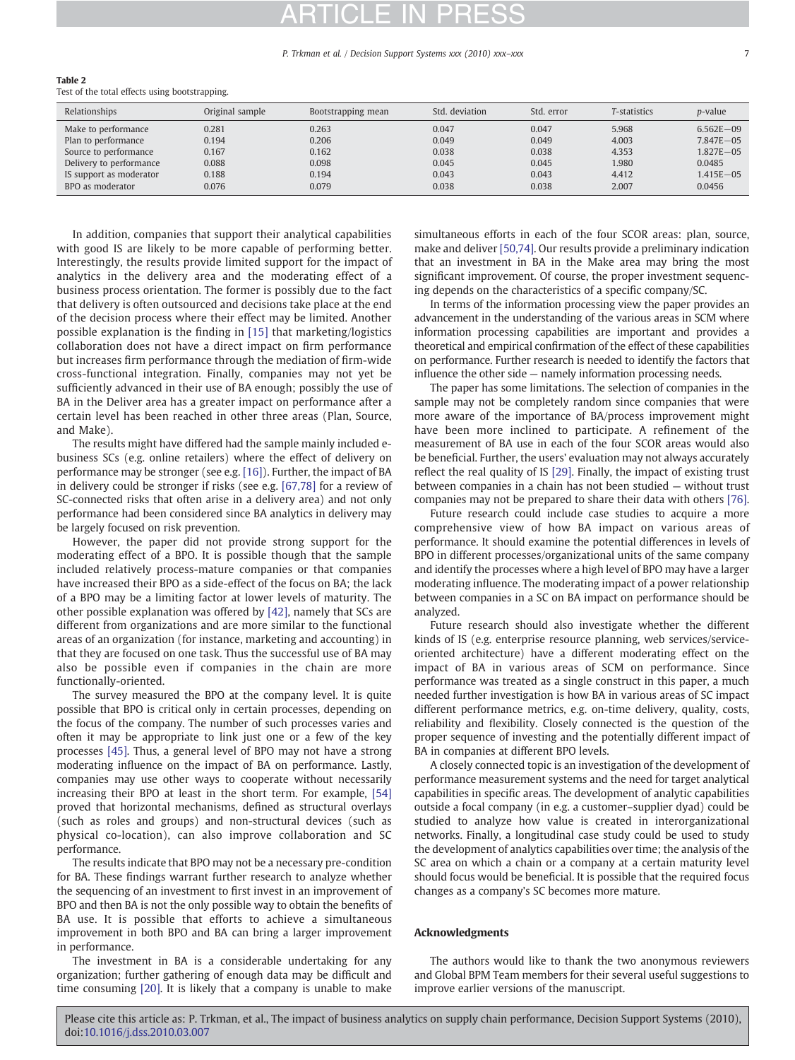#### P. Trkman et al. / Decision Support Systems xxx (2010) xxx-xxx

### Table 2

Test of the total effects using bootstrapping.

| Relationships           | Original sample | Bootstrapping mean | Std. deviation | Std. error | T-statistics | <i>p</i> -value |
|-------------------------|-----------------|--------------------|----------------|------------|--------------|-----------------|
| Make to performance     | 0.281           | 0.263              | 0.047          | 0.047      | 5.968        | $6.562E - 09$   |
| Plan to performance     | 0.194           | 0.206              | 0.049          | 0.049      | 4.003        | $7.847E - 05$   |
| Source to performance   | 0.167           | 0.162              | 0.038          | 0.038      | 4.353        | $1.827E - 0.5$  |
| Delivery to performance | 0.088           | 0.098              | 0.045          | 0.045      | 1.980        | 0.0485          |
| IS support as moderator | 0.188           | 0.194              | 0.043          | 0.043      | 4.412        | $1.415E - 05$   |
| BPO as moderator        | 0.076           | 0.079              | 0.038          | 0.038      | 2.007        | 0.0456          |

In addition, companies that support their analytical capabilities with good IS are likely to be more capable of performing better. Interestingly, the results provide limited support for the impact of analytics in the delivery area and the moderating effect of a business process orientation. The former is possibly due to the fact that delivery is often outsourced and decisions take place at the end of the decision process where their effect may be limited. Another possible explanation is the finding in [\[15\]](#page-7-0) that marketing/logistics collaboration does not have a direct impact on firm performance but increases firm performance through the mediation of firm-wide cross-functional integration. Finally, companies may not yet be sufficiently advanced in their use of BA enough; possibly the use of BA in the Deliver area has a greater impact on performance after a certain level has been reached in other three areas (Plan, Source, and Make).

The results might have differed had the sample mainly included ebusiness SCs (e.g. online retailers) where the effect of delivery on performance may be stronger (see e.g. [\[16\]\)](#page-7-0). Further, the impact of BA in delivery could be stronger if risks (see e.g. [\[67,78\]](#page-8-0) for a review of SC-connected risks that often arise in a delivery area) and not only performance had been considered since BA analytics in delivery may be largely focused on risk prevention.

However, the paper did not provide strong support for the moderating effect of a BPO. It is possible though that the sample included relatively process-mature companies or that companies have increased their BPO as a side-effect of the focus on BA; the lack of a BPO may be a limiting factor at lower levels of maturity. The other possible explanation was offered by [\[42\],](#page-8-0) namely that SCs are different from organizations and are more similar to the functional areas of an organization (for instance, marketing and accounting) in that they are focused on one task. Thus the successful use of BA may also be possible even if companies in the chain are more functionally-oriented.

The survey measured the BPO at the company level. It is quite possible that BPO is critical only in certain processes, depending on the focus of the company. The number of such processes varies and often it may be appropriate to link just one or a few of the key processes [\[45\]](#page-8-0). Thus, a general level of BPO may not have a strong moderating influence on the impact of BA on performance. Lastly, companies may use other ways to cooperate without necessarily increasing their BPO at least in the short term. For example, [\[54\]](#page-8-0) proved that horizontal mechanisms, defined as structural overlays (such as roles and groups) and non-structural devices (such as physical co-location), can also improve collaboration and SC performance.

The results indicate that BPO may not be a necessary pre-condition for BA. These findings warrant further research to analyze whether the sequencing of an investment to first invest in an improvement of BPO and then BA is not the only possible way to obtain the benefits of BA use. It is possible that efforts to achieve a simultaneous improvement in both BPO and BA can bring a larger improvement in performance.

<span id="page-6-0"></span>The investment in BA is a considerable undertaking for any organization; further gathering of enough data may be difficult and time consuming [\[20\]](#page-7-0). It is likely that a company is unable to make simultaneous efforts in each of the four SCOR areas: plan, source, make and deliver [\[50,74\]](#page-8-0). Our results provide a preliminary indication that an investment in BA in the Make area may bring the most significant improvement. Of course, the proper investment sequencing depends on the characteristics of a specific company/SC.

In terms of the information processing view the paper provides an advancement in the understanding of the various areas in SCM where information processing capabilities are important and provides a theoretical and empirical confirmation of the effect of these capabilities on performance. Further research is needed to identify the factors that influence the other side — namely information processing needs.

The paper has some limitations. The selection of companies in the sample may not be completely random since companies that were more aware of the importance of BA/process improvement might have been more inclined to participate. A refinement of the measurement of BA use in each of the four SCOR areas would also be beneficial. Further, the users' evaluation may not always accurately reflect the real quality of IS [\[29\]](#page-7-0). Finally, the impact of existing trust between companies in a chain has not been studied — without trust companies may not be prepared to share their data with others [\[76\].](#page-8-0)

Future research could include case studies to acquire a more comprehensive view of how BA impact on various areas of performance. It should examine the potential differences in levels of BPO in different processes/organizational units of the same company and identify the processes where a high level of BPO may have a larger moderating influence. The moderating impact of a power relationship between companies in a SC on BA impact on performance should be analyzed.

Future research should also investigate whether the different kinds of IS (e.g. enterprise resource planning, web services/serviceoriented architecture) have a different moderating effect on the impact of BA in various areas of SCM on performance. Since performance was treated as a single construct in this paper, a much needed further investigation is how BA in various areas of SC impact different performance metrics, e.g. on-time delivery, quality, costs, reliability and flexibility. Closely connected is the question of the proper sequence of investing and the potentially different impact of BA in companies at different BPO levels.

A closely connected topic is an investigation of the development of performance measurement systems and the need for target analytical capabilities in specific areas. The development of analytic capabilities outside a focal company (in e.g. a customer–supplier dyad) could be studied to analyze how value is created in interorganizational networks. Finally, a longitudinal case study could be used to study the development of analytics capabilities over time; the analysis of the SC area on which a chain or a company at a certain maturity level should focus would be beneficial. It is possible that the required focus changes as a company's SC becomes more mature.

### Acknowledgments

The authors would like to thank the two anonymous reviewers and Global BPM Team members for their several useful suggestions to improve earlier versions of the manuscript.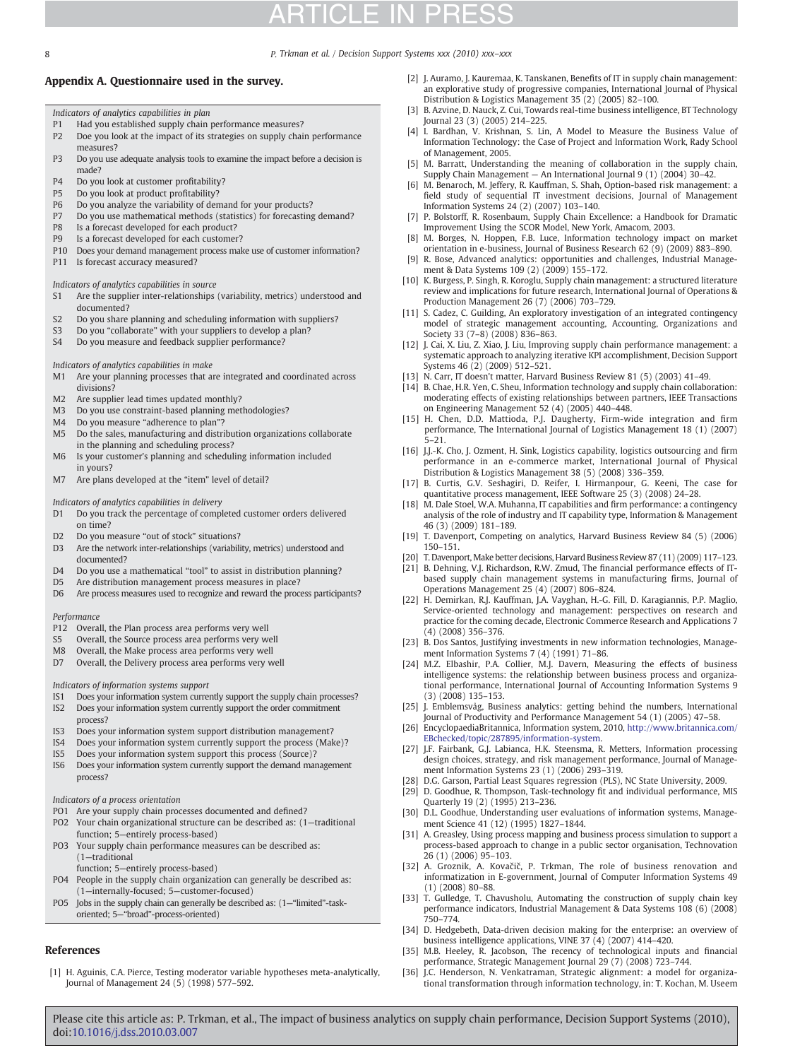### 8 P. Trkman et al. / Decision Support Systems xxx (2010) xxx–xxx

### Appendix A. Questionnaire used in the survey.

- Indicators of analytics capabilities in plan
- P1 Had you established supply chain performance measures?
- P2 Doe you look at the impact of its strategies on supply chain performance measures?
- P3 Do you use adequate analysis tools to examine the impact before a decision is made?
- P4 Do you look at customer profitability?
- P5 Do you look at product profitability?
- P6 Do you analyze the variability of demand for your products?
- P7 Do you use mathematical methods (statistics) for forecasting demand?
- P8 Is a forecast developed for each product?
- P9 Is a forecast developed for each customer?
- P10 Does your demand management process make use of customer information? P11 Is forecast accuracy measured?

Indicators of analytics capabilities in source

- S1 Are the supplier inter-relationships (variability, metrics) understood and documented?
- S2 Do you share planning and scheduling information with suppliers?
- S3 Do you "collaborate" with your suppliers to develop a plan?
- S4 Do you measure and feedback supplier performance?

Indicators of analytics capabilities in make

- M1 Are your planning processes that are integrated and coordinated across divisions?
- M2 Are supplier lead times updated monthly?
- M3 Do you use constraint-based planning methodologies?
- M4 Do you measure "adherence to plan"?
- M5 Do the sales, manufacturing and distribution organizations collaborate in the planning and scheduling process?
- M6 Is your customer's planning and scheduling information included in yours?
- M7 Are plans developed at the "item" level of detail?

### Indicators of analytics capabilities in delivery

- D1 Do you track the percentage of completed customer orders delivered on time?
- D2 Do you measure "out of stock" situations?
- D3 Are the network inter-relationships (variability, metrics) understood and documented?
- D4 Do you use a mathematical "tool" to assist in distribution planning?
- D5 Are distribution management process measures in place?
- D6 Are process measures used to recognize and reward the process participants?

#### Performance

- P12 Overall, the Plan process area performs very well
- S5 Overall, the Source process area performs very well
- M8 Overall, the Make process area performs very well
- D7 Overall, the Delivery process area performs very well

### Indicators of information systems support

- IS1 Does your information system currently support the supply chain processes?
- IS2 Does your information system currently support the order commitment process?
- IS3 Does your information system support distribution management?
- IS4 Does your information system currently support the process (Make)?
- IS5 Does your information system support this process (Source)?
- IS6 Does your information system currently support the demand management process?

#### Indicators of a process orientation

- PO1 Are your supply chain processes documented and defined?
- PO2 Your chain organizational structure can be described as: (1—traditional function; 5—entirely process-based)
- PO3 Your supply chain performance measures can be described as: (1—traditional
	- function; 5—entirely process-based)
- PO4 People in the supply chain organization can generally be described as: (1—internally-focused; 5—customer-focused)
- PO5 Jobs in the supply chain can generally be described as: (1-"limited"-taskoriented; 5—"broad"-process-oriented)

#### References

[1] H. Aguinis, C.A. Pierce, Testing moderator variable hypotheses meta-analytically, Journal of Management 24 (5) (1998) 577–592.

- [2] J. Auramo, J. Kauremaa, K. Tanskanen, Benefits of IT in supply chain management: an explorative study of progressive companies, International Journal of Physical Distribution & Logistics Management 35 (2) (2005) 82–100.
- [3] B. Azvine, D. Nauck, Z. Cui, Towards real-time business intelligence, BT Technology Journal 23 (3) (2005) 214–225.
- [4] I. Bardhan, V. Krishnan, S. Lin, A Model to Measure the Business Value of Information Technology: the Case of Project and Information Work, Rady School of Management, 2005.
- [5] M. Barratt, Understanding the meaning of collaboration in the supply chain, Supply Chain Management An International Journal 9 (1) (2004) 30–42.
- [6] M. Benaroch, M. Jeffery, R. Kauffman, S. Shah, Option-based risk management: a field study of sequential IT investment decisions, Journal of Management Information Systems 24 (2) (2007) 103–140.
- [7] P. Bolstorff, R. Rosenbaum, Supply Chain Excellence: a Handbook for Dramatic Improvement Using the SCOR Model, New York, Amacom, 2003.
- [8] M. Borges, N. Hoppen, F.B. Luce, Information technology impact on market orientation in e-business, Journal of Business Research 62 (9) (2009) 883–890.
- [9] R. Bose, Advanced analytics: opportunities and challenges, Industrial Management & Data Systems 109 (2) (2009) 155–172.
- [10] K. Burgess, P. Singh, R. Koroglu, Supply chain management: a structured literature review and implications for future research, International Journal of Operations & Production Management 26 (7) (2006) 703–729.
- [11] S. Cadez, C. Guilding, An exploratory investigation of an integrated contingency model of strategic management accounting, Accounting, Organizations and Society 33 (7–8) (2008) 836–863.
- [12] J. Cai, X. Liu, Z. Xiao, J. Liu, Improving supply chain performance management: a systematic approach to analyzing iterative KPI accomplishment, Decision Support Systems 46 (2) (2009) 512–521.
- [13] N. Carr, IT doesn't matter, Harvard Business Review 81 (5) (2003) 41–49.
- [14] B. Chae, H.R. Yen, C. Sheu, Information technology and supply chain collaboration: moderating effects of existing relationships between partners, IEEE Transactions on Engineering Management 52 (4) (2005) 440–448.
- [15] H. Chen, D.D. Mattioda, P.J. Daugherty, Firm-wide integration and firm performance, The International Journal of Logistics Management 18 (1) (2007)  $5 - 21$ .
- [16] J.J.-K. Cho, J. Ozment, H. Sink, Logistics capability, logistics outsourcing and firm performance in an e-commerce market, International Journal of Physical Distribution & Logistics Management 38 (5) (2008) 336–359.
- [17] B. Curtis, G.V. Seshagiri, D. Reifer, I. Hirmanpour, G. Keeni, The case for quantitative process management, IEEE Software 25 (3) (2008) 24–28.
- [18] M. Dale Stoel, W.A. Muhanna, IT capabilities and firm performance: a contingency analysis of the role of industry and IT capability type, Information & Management 46 (3) (2009) 181–189.
- [19] T. Davenport, Competing on analytics, Harvard Business Review 84 (5) (2006) 150–151.
- [20] T. Davenport, Make better decisions, Harvard Business Review 87 (11) (2009) 117–123.
- [21] B. Dehning, V.J. Richardson, R.W. Zmud, The financial performance effects of ITbased supply chain management systems in manufacturing firms, Journal of Operations Management 25 (4) (2007) 806–824.
- [22] H. Demirkan, R.J. Kauffman, J.A. Vayghan, H.-G. Fill, D. Karagiannis, P.P. Maglio, Service-oriented technology and management: perspectives on research and practice for the coming decade, Electronic Commerce Research and Applications 7 (4) (2008) 356–376.
- [23] B. Dos Santos, Justifying investments in new information technologies, Management Information Systems 7 (4) (1991) 71–86.
- [24] M.Z. Elbashir, P.A. Collier, M.J. Davern, Measuring the effects of business intelligence systems: the relationship between business process and organizational performance, International Journal of Accounting Information Systems 9 (3) (2008) 135–153.
- [25] J. Emblemsvåg, Business analytics: getting behind the numbers, International Journal of Productivity and Performance Management 54 (1) (2005) 47–58.
- [26] EncyclopaediaBritannica, Information system, 2010, [http://www.britannica.com/](http://www.britannica.com/EBchecked/topic/287895/information-system) [EBchecked/topic/287895/information-system.](http://www.britannica.com/EBchecked/topic/287895/information-system)
- [27] J.F. Fairbank, G.J. Labianca, H.K. Steensma, R. Metters, Information processing design choices, strategy, and risk management performance, Journal of Management Information Systems 23 (1) (2006) 293–319.
- [28] D.G. Garson, Partial Least Squares regression (PLS), NC State University, 2009.
- [29] D. Goodhue, R. Thompson, Task-technology fit and individual performance, MIS Quarterly 19 (2) (1995) 213–236.
- [30] D.L. Goodhue, Understanding user evaluations of information systems, Management Science 41 (12) (1995) 1827–1844.
- [31] A. Greasley, Using process mapping and business process simulation to support a process-based approach to change in a public sector organisation, Technovation 26 (1) (2006) 95–103.
- [32] A. Groznik, A. Kovačič, P. Trkman, The role of business renovation and informatization in E-government, Journal of Computer Information Systems 49 (1) (2008) 80–88.
- [33] T. Gulledge, T. Chavusholu, Automating the construction of supply chain key performance indicators, Industrial Management & Data Systems 108 (6) (2008) 750–774.
- [34] D. Hedgebeth, Data-driven decision making for the enterprise: an overview of
- business intelligence applications, VINE 37 (4) (2007) 414–420. [35] M.B. Heeley, R. Jacobson, The recency of technological inputs and financial performance, Strategic Management Journal 29 (7) (2008) 723–744.
- [36] J.C. Henderson, N. Venkatraman, Strategic alignment: a model for organizational transformation through information technology, in: T. Kochan, M. Useem

<span id="page-7-0"></span>Please cite this article as: P. Trkman, et al., The impact of business analytics on supply chain performance, Decision Support Systems (2010), doi:[10.1016/j.dss.2010.03.007](http://dx.doi.org/10.1016/j.dss.2010.03.007)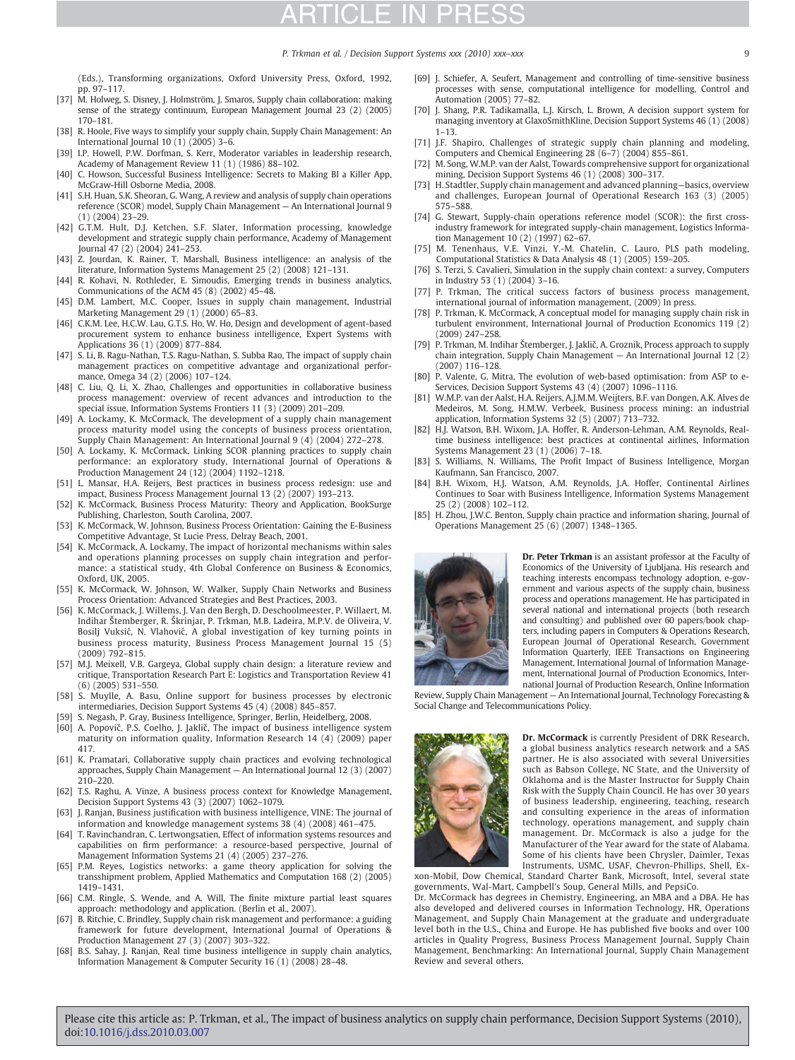### P. Trkman et al. / Decision Support Systems xxx (2010) xxx-xxx

(Eds.), Transforming organizations, Oxford University Press, Oxford, 1992, pp. 97–117.

- [37] M. Holweg, S. Disney, J. Holmström, J. Smaros, Supply chain collaboration: making sense of the strategy continuum, European Management Journal 23 (2) (2005) 170–181.
- [38] R. Hoole, Five ways to simplify your supply chain, Supply Chain Management: An International Journal 10 $(1)$  $(2005)$  3-6.
- [39] I.P. Howell, P.W. Dorfman, S. Kerr, Moderator variables in leadership research, Academy of Management Review 11 (1) (1986) 88–102.
- [40] C. Howson, Successful Business Intelligence: Secrets to Making BI a Killer App, McGraw-Hill Osborne Media, 2008.
- [41] S.H. Huan, S.K. Sheoran, G. Wang, A review and analysis of supply chain operations reference (SCOR) model, Supply Chain Management — An International Journal 9 (1) (2004) 23–29.
- [42] G.T.M. Hult, D.J. Ketchen, S.F. Slater, Information processing, knowledge development and strategic supply chain performance, Academy of Management Journal 47 (2) (2004) 241–253. [43] Z. Jourdan, K. Rainer, T. Marshall, Business intelligence: an analysis of the
- literature, Information Systems Management 25 (2) (2008) 121–131.
- [44] R. Kohavi, N. Rothleder, E. Simoudis, Emerging trends in business analytics, Communications of the ACM 45 (8) (2002) 45–48.
- [45] D.M. Lambert, M.C. Cooper, Issues in supply chain management, Industrial Marketing Management 29 (1) (2000) 65–83.
- [46] C.K.M. Lee, H.C.W. Lau, G.T.S. Ho, W. Ho, Design and development of agent-based procurement system to enhance business intelligence, Expert Systems with Applications 36 (1) (2009) 877–884.
- [47] S. Li, B. Ragu-Nathan, T.S. Ragu-Nathan, S. Subba Rao, The impact of supply chain management practices on competitive advantage and organizational performance, Omega 34 (2) (2006) 107–124.
- [48] C. Liu, Q. Li, X. Zhao, Challenges and opportunities in collaborative business process management: overview of recent advances and introduction to the special issue, Information Systems Frontiers 11 (3) (2009) 201–209.
- [49] A. Lockamy, K. McCormack, The development of a supply chain management process maturity model using the concepts of business process orientation, Supply Chain Management: An International Journal 9 (4) (2004) 272–278.
- [50] A. Lockamy, K. McCormack, Linking SCOR planning practices to supply chain performance: an exploratory study, International Journal of Operations & Production Management 24 (12) (2004) 1192–1218.
- [51] L. Mansar, H.A. Reijers, Best practices in business process redesign: use and impact, Business Process Management Journal 13 (2) (2007) 193–213.
- [52] K. McCormack, Business Process Maturity: Theory and Application, BookSurge Publishing, Charleston, South Carolina, 2007.
- [53] K. McCormack, W. Johnson, Business Process Orientation: Gaining the E-Business Competitive Advantage, St Lucie Press, Delray Beach, 2001.
- [54] K. McCormack, A. Lockamy, The impact of horizontal mechanisms within sales and operations planning processes on supply chain integration and performance: a statistical study, 4th Global Conference on Business & Economics, Oxford, UK, 2005.
- [55] K. McCormack, W. Johnson, W. Walker, Supply Chain Networks and Business Process Orientation: Advanced Strategies and Best Practices, 2003.
- [56] K. McCormack, J. Willems, J. Van den Bergh, D. Deschoolmeester, P. Willaert, M. Indihar Štemberger, R. Škrinjar, P. Trkman, M.B. Ladeira, M.P.V. de Oliveira, V. Bosilj Vuksić, N. Vlahović, A global investigation of key turning points in business process maturity, Business Process Management Journal 15 (5) (2009) 792–815.
- [57] M.J. Meixell, V.B. Gargeya, Global supply chain design: a literature review and critique, Transportation Research Part E: Logistics and Transportation Review 41 (6) (2005) 531–550.
- [58] S. Muylle, A. Basu, Online support for business processes by electronic intermediaries, Decision Support Systems 45 (4) (2008) 845–857.
- [59] S. Negash, P. Gray, Business Intelligence, Springer, Berlin, Heidelberg, 2008.
- A. Popovič, P.S. Coelho, J. Jaklič, The impact of business intelligence system maturity on information quality, Information Research 14 (4) (2009) paper 417.
- [61] K. Pramatari, Collaborative supply chain practices and evolving technological approaches, Supply Chain Management — An International Journal 12 (3) (2007) 210–220.
- [62] T.S. Raghu, A. Vinze, A business process context for Knowledge Management, Decision Support Systems 43 (3) (2007) 1062–1079.
- [63] J. Ranjan, Business justification with business intelligence, VINE: The journal of information and knowledge management systems 38 (4) (2008) 461–475.
- [64] T. Ravinchandran, C. Lertwongsatien, Effect of information systems resources and capabilities on firm performance: a resource-based perspective, Journal of Management Information Systems 21 (4) (2005) 237–276.
- [65] P.M. Reyes, Logistics networks: a game theory application for solving the transshipment problem, Applied Mathematics and Computation 168 (2) (2005) 1419–1431.
- [66] C.M. Ringle, S. Wende, and A. Will, The finite mixture partial least squares approach: methodology and application. (Berlin et al., 2007).
- [67] B. Ritchie, C. Brindley, Supply chain risk management and performance: a guiding framework for future development, International Journal of Operations & Production Management 27 (3) (2007) 303–322.
- <span id="page-8-0"></span>[68] B.S. Sahay, J. Ranjan, Real time business intelligence in supply chain analytics, Information Management & Computer Security 16 (1) (2008) 28–48.
- [69] J. Schiefer, A. Seufert, Management and controlling of time-sensitive business processes with sense, computational intelligence for modelling, Control and Automation (2005) 77–82.
- [70] J. Shang, P.R. Tadikamalla, L.J. Kirsch, L. Brown, A decision support system for managing inventory at GlaxoSmithKline, Decision Support Systems 46 (1) (2008) 1–13.
- [71] J.F. Shapiro, Challenges of strategic supply chain planning and modeling, Computers and Chemical Engineering 28 (6–7) (2004) 855–861.
- [72] M. Song, W.M.P. van der Aalst, Towards comprehensive support for organizational mining, Decision Support Systems 46 (1) (2008) 300-317.
- [73] H. Stadtler, Supply chain management and advanced planning-basics, overview and challenges, European Journal of Operational Research 163 (3) (2005) 575–588.
- [74] G. Stewart, Supply-chain operations reference model (SCOR): the first crossindustry framework for integrated supply-chain management, Logistics Information Management 10 (2) (1997) 62–67.
- [75] M. Tenenhaus, V.E. Vinzi, Y.-M. Chatelin, C. Lauro, PLS path modeling, Computational Statistics & Data Analysis 48 (1) (2005) 159–205.
- [76] S. Terzi, S. Cavalieri, Simulation in the supply chain context: a survey, Computers in Industry 53 (1) (2004) 3–16.
- [77] P. Trkman, The critical success factors of business process management, international journal of information management, (2009) In press.
- [78] P. Trkman, K. McCormack, A conceptual model for managing supply chain risk in turbulent environment, International Journal of Production Economics 119 (2) (2009) 247–258.
- [79] P. Trkman, M. Indihar Štemberger, J. Jaklič, A. Groznik, Process approach to supply chain integration, Supply Chain Management — An International Journal 12 (2) (2007) 116–128.
- [80] P. Valente, G. Mitra, The evolution of web-based optimisation: from ASP to e-Services, Decision Support Systems 43 (4) (2007) 1096–1116.
- [81] W.M.P. van der Aalst, H.A. Reijers, A.J.M.M. Weijters, B.F. van Dongen, A.K. Alves de Medeiros, M. Song, H.M.W. Verbeek, Business process mining: an industrial application, Information Systems 32 (5) (2007) 713–732.
- [82] H.J. Watson, B.H. Wixom, J.A. Hoffer, R. Anderson-Lehman, A.M. Reynolds, Realtime business intelligence: best practices at continental airlines, Information Systems Management 23 (1) (2006) 7–18.
- [83] S. Williams, N. Williams, The Profit Impact of Business Intelligence, Morgan Kaufmann, San Francisco, 2007.
- B.H. Wixom, H.J. Watson, A.M. Reynolds, J.A. Hoffer, Continental Airlines Continues to Soar with Business Intelligence, Information Systems Management 25 (2) (2008) 102–112.
- [85] H. Zhou, J.W.C. Benton, Supply chain practice and information sharing, Journal of Operations Management 25 (6) (2007) 1348–1365.



Dr. Peter Trkman is an assistant professor at the Faculty of Economics of the University of Ljubljana. His research and teaching interests encompass technology adoption, e-government and various aspects of the supply chain, business process and operations management. He has participated in several national and international projects (both research and consulting) and published over 60 papers/book chapters, including papers in Computers & Operations Research, European Journal of Operational Research, Government Information Quarterly, IEEE Transactions on Engineering Management, International Journal of Information Management, International Journal of Production Economics, International Journal of Production Research, Online Information

Review, Supply Chain Management — An International Journal, Technology Forecasting & Social Change and Telecommunications Policy.



Dr. McCormack is currently President of DRK Research, a global business analytics research network and a SAS partner. He is also associated with several Universities such as Babson College, NC State, and the University of Oklahoma and is the Master Instructor for Supply Chain Risk with the Supply Chain Council. He has over 30 years of business leadership, engineering, teaching, research and consulting experience in the areas of information technology, operations management, and supply chain management. Dr. McCormack is also a judge for the Manufacturer of the Year award for the state of Alabama. Some of his clients have been Chrysler, Daimler, Texas Instruments, USMC, USAF, Chevron-Phillips, Shell, Ex-

xon-Mobil, Dow Chemical, Standard Charter Bank, Microsoft, Intel, several state governments, Wal-Mart, Campbell's Soup, General Mills, and PepsiCo.

Dr. McCormack has degrees in Chemistry, Engineering, an MBA and a DBA. He has also developed and delivered courses in Information Technology, HR, Operations Management, and Supply Chain Management at the graduate and undergraduate level both in the U.S., China and Europe. He has published five books and over 100 articles in Quality Progress, Business Process Management Journal, Supply Chain Management, Benchmarking: An International Journal, Supply Chain Management Review and several others.